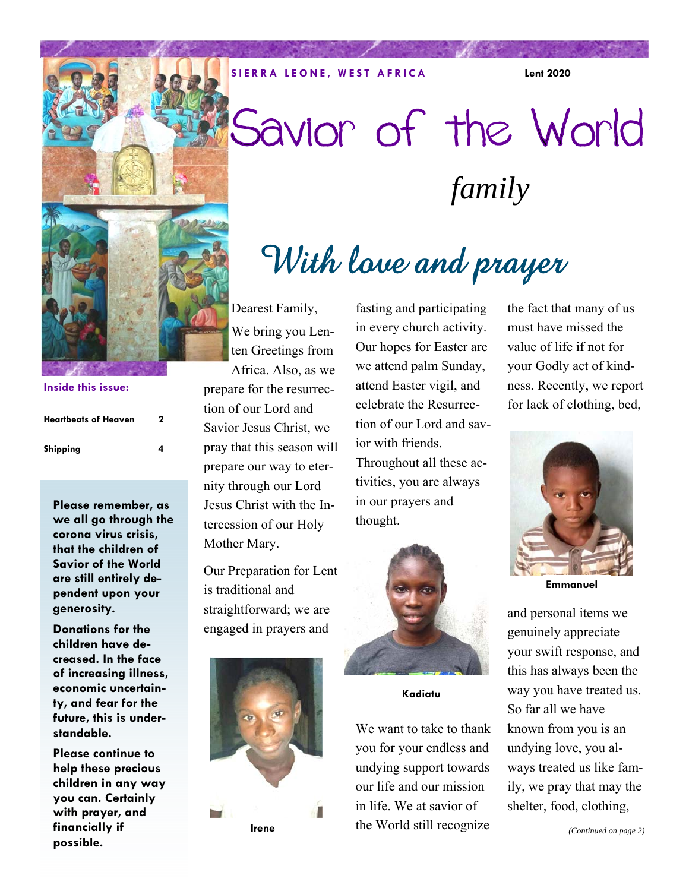## **SIERRA LEONE, WEST AFRICA Lent 2020**

# Savior of the World *family*



#### **Inside this issue:**

| Heartbeats of Heaven | 2 |
|----------------------|---|
| Shipping             | 4 |

**Please remember, as we all go through the corona virus crisis, that the children of Savior of the World are still entirely dependent upon your generosity.** 

**Donations for the children have decreased. In the face of increasing illness, economic uncertainty, and fear for the future, this is understandable.** 

**Please continue to help these precious children in any way you can. Certainly with prayer, and financially if possible.** 

With love and prayer

Dearest Family, We bring you Lenten Greetings from

Africa. Also, as we prepare for the resurrection of our Lord and Savior Jesus Christ, we pray that this season will prepare our way to eternity through our Lord Jesus Christ with the Intercession of our Holy Mother Mary.

Our Preparation for Lent is traditional and straightforward; we are engaged in prayers and



fasting and participating in every church activity. Our hopes for Easter are we attend palm Sunday, attend Easter vigil, and celebrate the Resurrection of our Lord and savior with friends. Throughout all these activities, you are always in our prayers and thought.



### **Kadiatu**

We want to take to thank you for your endless and undying support towards our life and our mission in life. We at savior of the World still recognize *(Continued on page 2)* **Irene** 

the fact that many of us must have missed the value of life if not for your Godly act of kindness. Recently, we report for lack of clothing, bed,



**Emmanuel** 

and personal items we genuinely appreciate your swift response, and this has always been the way you have treated us. So far all we have known from you is an undying love, you always treated us like family, we pray that may the shelter, food, clothing,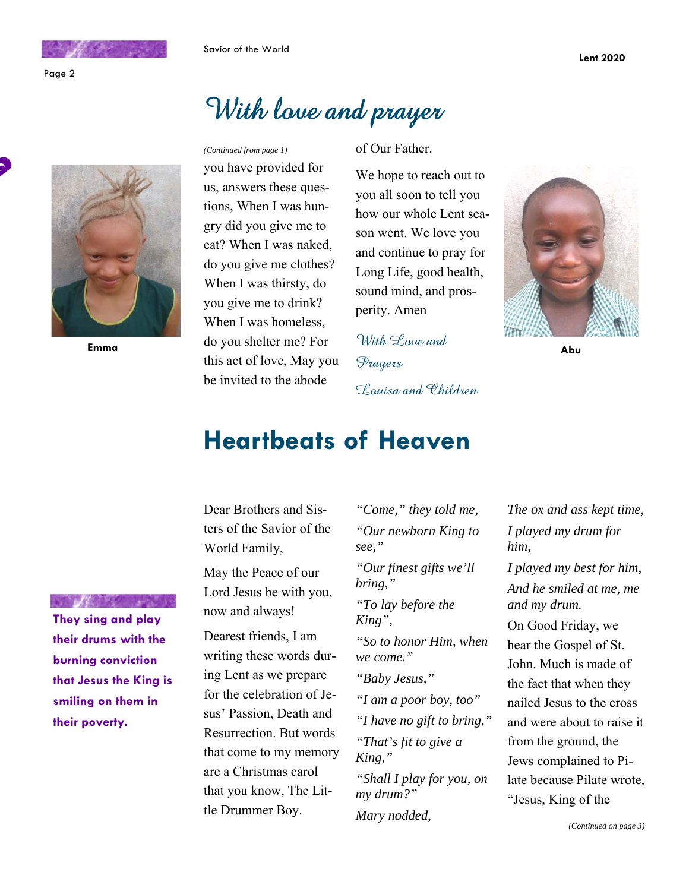## With love and prayer

you have provided for us, answers these questions, When I was hungry did you give me to eat? When I was naked, do you give me clothes? When I was thirsty, do you give me to drink? When I was homeless, do you shelter me? For this act of love, May you be invited to the abode

*(Continued from page 1)* of Our Father.

We hope to reach out to you all soon to tell you how our whole Lent season went. We love you and continue to pray for Long Life, good health, sound mind, and prosperity. Amen

With Love and Prayers Louisa and Children



**Abu** 

## **Heartbeats of Heaven**

Dear Brothers and Sisters of the Savior of the World Family,

May the Peace of our Lord Jesus be with you, now and always!

Dearest friends, I am writing these words during Lent as we prepare for the celebration of Jesus' Passion, Death and Resurrection. But words that come to my memory are a Christmas carol that you know, The Little Drummer Boy.

*"Come," they told me, "Our newborn King to see,"* 

*"Our finest gifts we'll bring,"* 

*"To lay before the King", "So to honor Him, when* 

*we come."* 

*"Baby Jesus," "I am a poor boy, too" "I have no gift to bring," "That's fit to give a King," "Shall I play for you, on my drum?"* 

*Mary nodded,* 

*The ox and ass kept time, I played my drum for him,* 

*I played my best for him, And he smiled at me, me and my drum.* 

On Good Friday, we hear the Gospel of St. John. Much is made of the fact that when they nailed Jesus to the cross and were about to raise it from the ground, the Jews complained to Pilate because Pilate wrote, "Jesus, King of the

**Emma** 

**They sing and play their drums with the burning conviction that Jesus the King is smiling on them in their poverty.**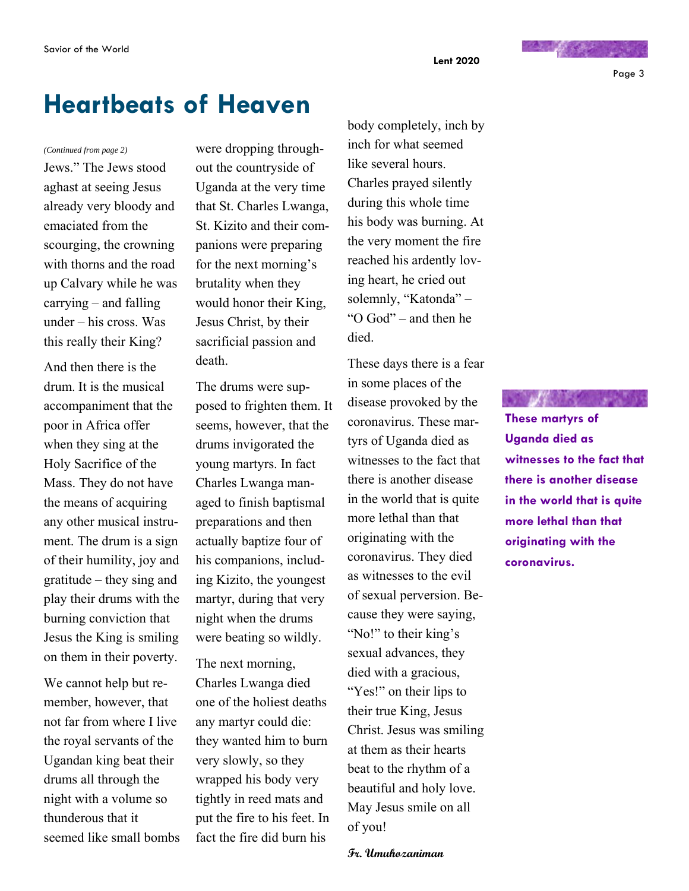#### Page 3

## **Heartbeats of Heaven**

Jews." The Jews stood aghast at seeing Jesus already very bloody and emaciated from the scourging, the crowning with thorns and the road up Calvary while he was carrying – and falling under – his cross. Was this really their King?

And then there is the drum. It is the musical accompaniment that the poor in Africa offer when they sing at the Holy Sacrifice of the Mass. They do not have the means of acquiring any other musical instrument. The drum is a sign of their humility, joy and gratitude – they sing and play their drums with the burning conviction that Jesus the King is smiling on them in their poverty.

We cannot help but remember, however, that not far from where I live the royal servants of the Ugandan king beat their drums all through the night with a volume so thunderous that it seemed like small bombs

*(Continued from page 2)* were dropping throughout the countryside of Uganda at the very time that St. Charles Lwanga, St. Kizito and their companions were preparing for the next morning's brutality when they would honor their King, Jesus Christ, by their sacrificial passion and death.

> The drums were supposed to frighten them. It seems, however, that the drums invigorated the young martyrs. In fact Charles Lwanga managed to finish baptismal preparations and then actually baptize four of his companions, including Kizito, the youngest martyr, during that very night when the drums were beating so wildly.

The next morning, Charles Lwanga died one of the holiest deaths any martyr could die: they wanted him to burn very slowly, so they wrapped his body very tightly in reed mats and put the fire to his feet. In fact the fire did burn his

body completely, inch by inch for what seemed like several hours. Charles prayed silently during this whole time his body was burning. At the very moment the fire reached his ardently loving heart, he cried out solemnly, "Katonda" – "O God" – and then he died.

These days there is a fear in some places of the disease provoked by the coronavirus. These martyrs of Uganda died as witnesses to the fact that there is another disease in the world that is quite more lethal than that originating with the coronavirus. They died as witnesses to the evil of sexual perversion. Because they were saying, "No!" to their king's sexual advances, they died with a gracious, "Yes!" on their lips to their true King, Jesus Christ. Jesus was smiling at them as their hearts beat to the rhythm of a beautiful and holy love. May Jesus smile on all of you!

**These martyrs of Uganda died as witnesses to the fact that there is another disease in the world that is quite more lethal than that originating with the coronavirus.** 

**NATIONAL PROPERTY** 

**Fr. Umuhozaniman**